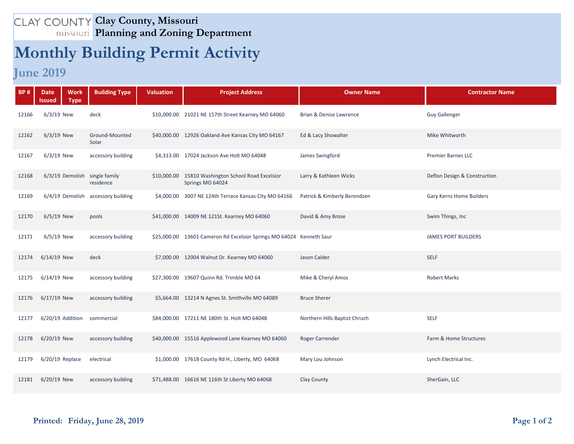## **Clay County, Missouri Planning and Zoning Department**

## **Monthly Building Permit Activity**

## **June 2019**

| <b>BP#</b> | <b>Work</b><br><b>Date</b><br><b>Type</b><br>lssued | <b>Building Type</b>               | <b>Valuation</b> | <b>Project Address</b>                                                 | <b>Owner Name</b>             | <b>Contractor Name</b>       |
|------------|-----------------------------------------------------|------------------------------------|------------------|------------------------------------------------------------------------|-------------------------------|------------------------------|
| 12166      | $6/3/19$ New                                        | deck                               |                  | \$10,000.00 21021 NE 157th Street Kearney MO 64060                     | Brian & Denise Lawrence       | <b>Guy Gallenger</b>         |
| 12162      | $6/3/19$ New                                        | Ground-Mounted<br>Solar            |                  | \$40,000.00 12926 Oakland Ave Kansas City MO 64167                     | Ed & Lacy Showalter           | Mike Whitworth               |
| 12167      | $6/3/19$ New                                        | accessory building                 |                  | \$4,313.00 17024 Jackson Ave Holt MO 64048                             | James Swingford               | <b>Premier Barnes LLC</b>    |
| 12168      | 6/3/19 Demolish single family                       | residence                          |                  | \$10,000.00 15810 Washington School Road Excelsior<br>Springs MO 64024 | Larry & Kathleen Wicks        | Deflon Design & Construction |
| 12169      |                                                     | 6/4/19 Demolish accessory building |                  | \$4,000.00 3007 NE 124th Terrace Kansas City MO 64166                  | Patrick & Kimberly Berendzen  | Gary Kerns Home Builders     |
| 12170      | $6/5/19$ New                                        | pools                              |                  | \$41,000.00 14009 NE 121St. Kearney MO 64060                           | David & Amy Brose             | Swim Things, Inc.            |
| 12171      | 6/5/19 New                                          | accessory building                 |                  | \$25,000.00 13601 Cameron Rd Excelsior Springs MO 64024 Kenneth Saur   |                               | <b>JAMES PORT BUILDERS</b>   |
| 12174      | $6/14/19$ New                                       | deck                               |                  | \$7,000.00 12004 Walnut Dr. Kearney MO 64060                           | Jason Calder                  | <b>SELF</b>                  |
| 12175      | 6/14/19 New                                         | accessory building                 |                  | \$27,300.00 19607 Quinn Rd. Trimble MO 64                              | Mike & Cheryl Amos            | <b>Robert Marks</b>          |
| 12176      | $6/17/19$ New                                       | accessory building                 |                  | \$5,664.00 13214 N Agnes St. Smithville MO 64089                       | <b>Bruce Sherer</b>           |                              |
| 12177      | 6/20/19 Addition                                    | commercial                         |                  | \$84,000.00 17211 NE 180th St. Holt MO 64048                           | Northern Hills Baptist Chruch | <b>SELF</b>                  |
| 12178      | 6/20/19 New                                         | accessory building                 |                  | \$40,000.00 15516 Applewood Lane Kearney MO 64060                      | Roger Carrender               | Farm & Home Structures       |
| 12179      | $6/20/19$ Replace                                   | electrical                         |                  | \$1,000.00 17618 County Rd H., Liberty, MO 64068                       | Mary Lou Johnson              | Lynch Electrical Inc.        |
| 12181      | 6/20/19 New                                         | accessory building                 |                  | \$71,488.00 16616 NE 116th St Liberty MO 64068                         | Clay County                   | SherGain, LLC                |